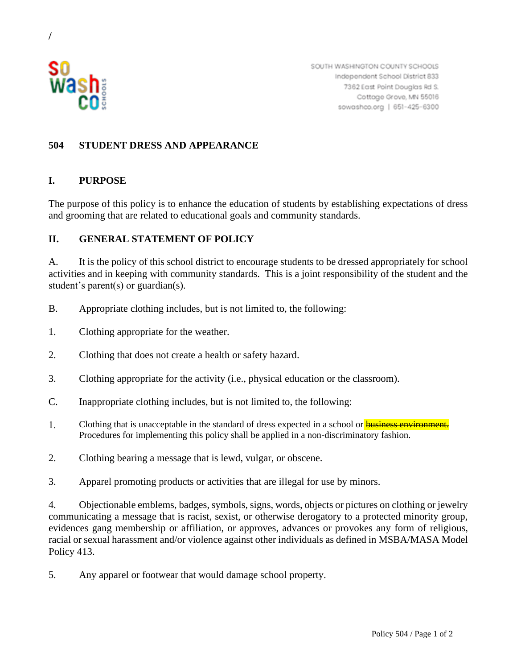

/

SOUTH WASHINGTON COUNTY SCHOOLS Independent School District 833 7362 East Point Douglas Rd S. Cottage Grove, MN 55016 sowashco.org | 651-425-6300

## **504 STUDENT DRESS AND APPEARANCE**

## **I. PURPOSE**

The purpose of this policy is to enhance the education of students by establishing expectations of dress and grooming that are related to educational goals and community standards.

## **II. GENERAL STATEMENT OF POLICY**

A. It is the policy of this school district to encourage students to be dressed appropriately for school activities and in keeping with community standards. This is a joint responsibility of the student and the student's parent(s) or guardian(s).

- B. Appropriate clothing includes, but is not limited to, the following:
- 1. Clothing appropriate for the weather.
- 2. Clothing that does not create a health or safety hazard.
- 3. Clothing appropriate for the activity (i.e., physical education or the classroom).
- C. Inappropriate clothing includes, but is not limited to, the following:
- 1. Clothing that is unacceptable in the standard of dress expected in a school or **business environment.** Procedures for implementing this policy shall be applied in a non-discriminatory fashion.
- 2. Clothing bearing a message that is lewd, vulgar, or obscene.
- 3. Apparel promoting products or activities that are illegal for use by minors.

4. Objectionable emblems, badges, symbols, signs, words, objects or pictures on clothing or jewelry communicating a message that is racist, sexist, or otherwise derogatory to a protected minority group, evidences gang membership or affiliation, or approves, advances or provokes any form of religious, racial or sexual harassment and/or violence against other individuals as defined in MSBA/MASA Model Policy 413.

5. Any apparel or footwear that would damage school property.